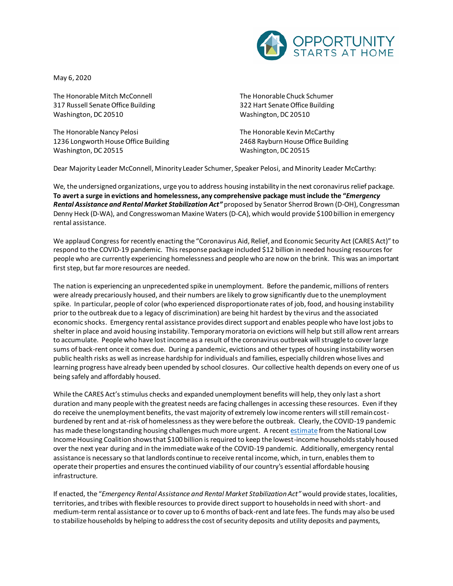

May 6, 2020

The Honorable Mitch McConnell 317 Russell Senate Office Building Washington, DC 20510

The Honorable Nancy Pelosi 1236 Longworth House Office Building Washington, DC 20515

The Honorable Chuck Schumer 322 Hart Senate Office Building Washington, DC 20510

The Honorable Kevin McCarthy 2468 Rayburn House Office Building Washington, DC 20515

Dear Majority Leader McConnell, Minority Leader Schumer, Speaker Pelosi, and Minority Leader McCarthy:

We, the undersigned organizations, urge you to address housing instability in the next coronavirus relief package. **To avert a surge in evictions and homelessness, any comprehensive package must include the "***Emergency Rental Assistance and Rental Market Stabilization Act"* proposed by Senator Sherrod Brown (D-OH), Congressman Denny Heck (D-WA), and Congresswoman Maxine Waters (D-CA), which would provide \$100 billion in emergency rental assistance.

We applaud Congress for recently enacting the "Coronavirus Aid, Relief, and Economic Security Act (CARES Act)" to respond to the COVID-19 pandemic. This response package included \$12 billion in needed housing resources for people who are currently experiencing homelessness and people who are now on the brink. This was an important first step, but far more resources are needed.

The nation is experiencing an unprecedented spike in unemployment. Before the pandemic, millions of renters were already precariously housed, and their numbers are likely to grow significantly due to the unemployment spike. In particular, people of color (who experienced disproportionate rates of job, food, and housing instability prior to the outbreak due to a legacy of discrimination) are being hit hardest by the virus and the associated economic shocks. Emergency rental assistance provides direct support and enables people who have lost jobs to shelter in place and avoid housing instability. Temporary moratoria on evictions will help but still allow rent arrears to accumulate. People who have lost income as a result of the coronavirus outbreak will struggle to cover large sums of back-rent once it comes due. During a pandemic, evictions and other types of housing instability worsen public health risks as well as increase hardship for individuals and families, especially children whose lives and learning progress have already been upended by school closures. Our collective health depends on every one of us being safely and affordably housed.

While the CARES Act's stimulus checks and expanded unemployment benefits will help, they only last a short duration and many people with the greatest needs are facing challenges in accessing these resources. Even if they do receive the unemployment benefits, the vast majority of extremely low income renters will still remain costburdened by rent and at-risk of homelessness as they were before the outbreak. Clearly, the COVID-19 pandemic has made these longstanding housing challenges much more urgent. A recen[t estimate](https://nlihc.org/sites/default/files/Need-for-Rental-Assistance-During-the-COVID-19-and-Economic-Crisis.pdf) from the National Low Income Housing Coalition shows that \$100 billion is required to keep the lowest-income households stably housed over the next year during and in the immediate wake of the COVID-19 pandemic. Additionally, emergency rental assistance is necessary so that landlords continue to receive rental income, which, in turn, enables them to operate their properties and ensures the continued viability of our country's essential affordable housing infrastructure.

If enacted, the "*Emergency Rental Assistance and Rental Market Stabilization Act"* would provide states, localities, territories, and tribes with flexible resources to provide direct support to households in need with short- and medium-term rental assistance or to cover up to 6 months of back-rent and late fees. The funds may also be used to stabilize households by helping to address the cost of security deposits and utility deposits and payments,